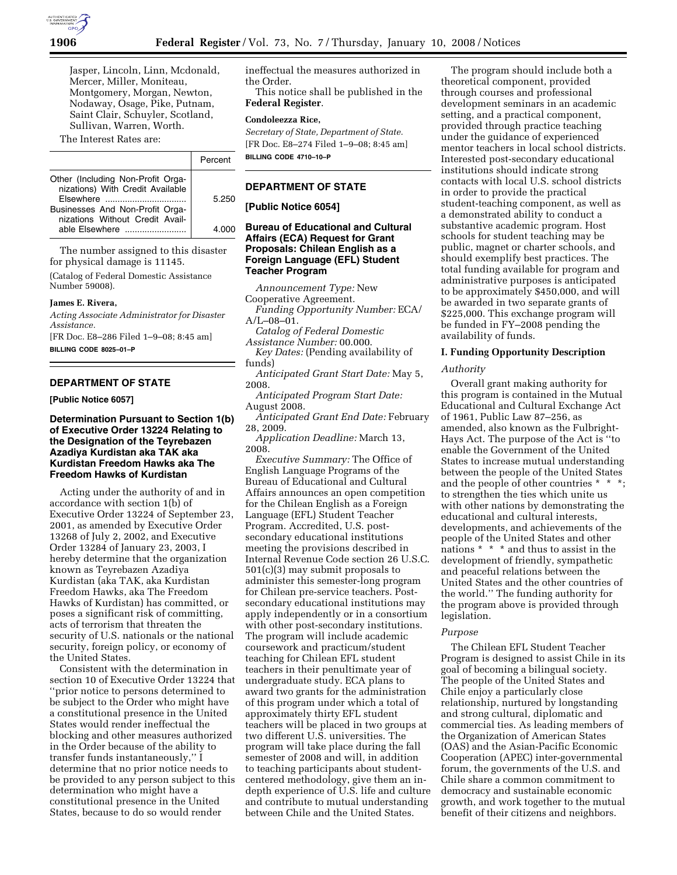

Jasper, Lincoln, Linn, Mcdonald, Mercer, Miller, Moniteau, Montgomery, Morgan, Newton, Nodaway, Osage, Pike, Putnam, Saint Clair, Schuyler, Scotland, Sullivan, Warren, Worth.

The Interest Rates are:

|                                                                                                                                                                            | Percent        |
|----------------------------------------------------------------------------------------------------------------------------------------------------------------------------|----------------|
| Other (Including Non-Profit Orga-<br>nizations) With Credit Available<br>Flsewhere<br>Businesses And Non-Profit Orga-<br>nizations Without Credit Avail-<br>able Elsewhere | 5.250<br>4 NOO |

The number assigned to this disaster for physical damage is 11145.

(Catalog of Federal Domestic Assistance Number 59008).

#### **James E. Rivera,**

*Acting Associate Administrator for Disaster Assistance.* 

[FR Doc. E8–286 Filed 1–9–08; 8:45 am] **BILLING CODE 8025–01–P** 

# **DEPARTMENT OF STATE**

**[Public Notice 6057]** 

# **Determination Pursuant to Section 1(b) of Executive Order 13224 Relating to the Designation of the Teyrebazen Azadiya Kurdistan aka TAK aka Kurdistan Freedom Hawks aka The Freedom Hawks of Kurdistan**

Acting under the authority of and in accordance with section 1(b) of Executive Order 13224 of September 23, 2001, as amended by Executive Order 13268 of July 2, 2002, and Executive Order 13284 of January 23, 2003, I hereby determine that the organization known as Teyrebazen Azadiya Kurdistan (aka TAK, aka Kurdistan Freedom Hawks, aka The Freedom Hawks of Kurdistan) has committed, or poses a significant risk of committing, acts of terrorism that threaten the security of U.S. nationals or the national security, foreign policy, or economy of the United States.

Consistent with the determination in section 10 of Executive Order 13224 that ''prior notice to persons determined to be subject to the Order who might have a constitutional presence in the United States would render ineffectual the blocking and other measures authorized in the Order because of the ability to transfer funds instantaneously,'' I determine that no prior notice needs to be provided to any person subject to this determination who might have a constitutional presence in the United States, because to do so would render

ineffectual the measures authorized in the Order.

This notice shall be published in the **Federal Register**.

## **Condoleezza Rice,**

*Secretary of State, Department of State.*  [FR Doc. E8–274 Filed 1–9–08; 8:45 am] **BILLING CODE 4710–10–P** 

# **DEPARTMENT OF STATE**

**[Public Notice 6054]** 

# **Bureau of Educational and Cultural Affairs (ECA) Request for Grant Proposals: Chilean English as a Foreign Language (EFL) Student Teacher Program**

*Announcement Type:* New

Cooperative Agreement. *Funding Opportunity Number:* ECA/ A/L–08–01.

*Catalog of Federal Domestic* 

*Assistance Number:* 00.000.

*Key Dates:* (Pending availability of funds)

*Anticipated Grant Start Date:* May 5, 2008.

*Anticipated Program Start Date:*  August 2008.

*Anticipated Grant End Date:* February 28, 2009.

*Application Deadline:* March 13, 2008.

*Executive Summary:* The Office of English Language Programs of the Bureau of Educational and Cultural Affairs announces an open competition for the Chilean English as a Foreign Language (EFL) Student Teacher Program. Accredited, U.S. postsecondary educational institutions meeting the provisions described in Internal Revenue Code section 26 U.S.C. 501(c)(3) may submit proposals to administer this semester-long program for Chilean pre-service teachers. Postsecondary educational institutions may apply independently or in a consortium with other post-secondary institutions. The program will include academic coursework and practicum/student teaching for Chilean EFL student teachers in their penultimate year of undergraduate study. ECA plans to award two grants for the administration of this program under which a total of approximately thirty EFL student teachers will be placed in two groups at two different U.S. universities. The program will take place during the fall semester of 2008 and will, in addition to teaching participants about studentcentered methodology, give them an indepth experience of U.S. life and culture and contribute to mutual understanding between Chile and the United States.

The program should include both a theoretical component, provided through courses and professional development seminars in an academic setting, and a practical component, provided through practice teaching under the guidance of experienced mentor teachers in local school districts. Interested post-secondary educational institutions should indicate strong contacts with local U.S. school districts in order to provide the practical student-teaching component, as well as a demonstrated ability to conduct a substantive academic program. Host schools for student teaching may be public, magnet or charter schools, and should exemplify best practices. The total funding available for program and administrative purposes is anticipated to be approximately \$450,000, and will be awarded in two separate grants of \$225,000. This exchange program will be funded in FY–2008 pending the availability of funds.

## **I. Funding Opportunity Description**

#### *Authority*

Overall grant making authority for this program is contained in the Mutual Educational and Cultural Exchange Act of 1961, Public Law 87–256, as amended, also known as the Fulbright-Hays Act. The purpose of the Act is ''to enable the Government of the United States to increase mutual understanding between the people of the United States and the people of other countries \* \* \*; to strengthen the ties which unite us with other nations by demonstrating the educational and cultural interests, developments, and achievements of the people of the United States and other nations \* \* \* and thus to assist in the development of friendly, sympathetic and peaceful relations between the United States and the other countries of the world.'' The funding authority for the program above is provided through legislation.

#### *Purpose*

The Chilean EFL Student Teacher Program is designed to assist Chile in its goal of becoming a bilingual society. The people of the United States and Chile enjoy a particularly close relationship, nurtured by longstanding and strong cultural, diplomatic and commercial ties. As leading members of the Organization of American States (OAS) and the Asian-Pacific Economic Cooperation (APEC) inter-governmental forum, the governments of the U.S. and Chile share a common commitment to democracy and sustainable economic growth, and work together to the mutual benefit of their citizens and neighbors.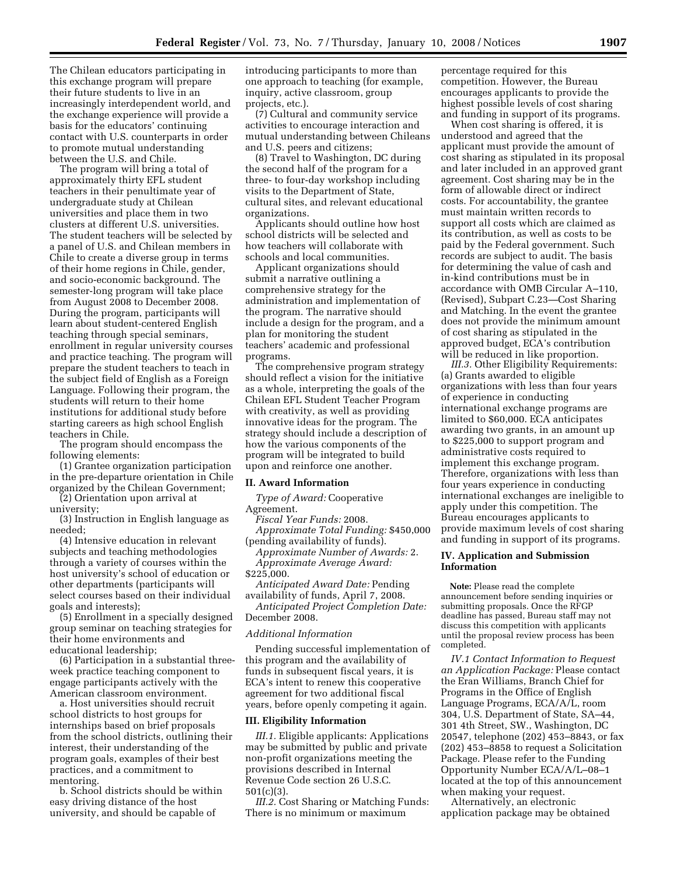The Chilean educators participating in this exchange program will prepare their future students to live in an increasingly interdependent world, and the exchange experience will provide a basis for the educators' continuing contact with U.S. counterparts in order to promote mutual understanding between the U.S. and Chile.

The program will bring a total of approximately thirty EFL student teachers in their penultimate year of undergraduate study at Chilean universities and place them in two clusters at different U.S. universities. The student teachers will be selected by a panel of U.S. and Chilean members in Chile to create a diverse group in terms of their home regions in Chile, gender, and socio-economic background. The semester-long program will take place from August 2008 to December 2008. During the program, participants will learn about student-centered English teaching through special seminars, enrollment in regular university courses and practice teaching. The program will prepare the student teachers to teach in the subject field of English as a Foreign Language. Following their program, the students will return to their home institutions for additional study before starting careers as high school English teachers in Chile.

The program should encompass the following elements:

(1) Grantee organization participation in the pre-departure orientation in Chile organized by the Chilean Government;

(2) Orientation upon arrival at

university; (3) Instruction in English language as needed;

(4) Intensive education in relevant subjects and teaching methodologies through a variety of courses within the host university's school of education or other departments (participants will select courses based on their individual goals and interests);

(5) Enrollment in a specially designed group seminar on teaching strategies for their home environments and educational leadership;

(6) Participation in a substantial threeweek practice teaching component to engage participants actively with the American classroom environment.

a. Host universities should recruit school districts to host groups for internships based on brief proposals from the school districts, outlining their interest, their understanding of the program goals, examples of their best practices, and a commitment to mentoring.

b. School districts should be within easy driving distance of the host university, and should be capable of

introducing participants to more than one approach to teaching (for example, inquiry, active classroom, group projects, etc.).

(7) Cultural and community service activities to encourage interaction and mutual understanding between Chileans and U.S. peers and citizens;

(8) Travel to Washington, DC during the second half of the program for a three- to four-day workshop including visits to the Department of State, cultural sites, and relevant educational organizations.

Applicants should outline how host school districts will be selected and how teachers will collaborate with schools and local communities.

Applicant organizations should submit a narrative outlining a comprehensive strategy for the administration and implementation of the program. The narrative should include a design for the program, and a plan for monitoring the student teachers' academic and professional programs.

The comprehensive program strategy should reflect a vision for the initiative as a whole, interpreting the goals of the Chilean EFL Student Teacher Program with creativity, as well as providing innovative ideas for the program. The strategy should include a description of how the various components of the program will be integrated to build upon and reinforce one another.

#### **II. Award Information**

*Type of Award:* Cooperative Agreement.

*Fiscal Year Funds:* 2008.

*Approximate Total Funding:* \$450,000 (pending availability of funds).

*Approximate Number of Awards:* 2. *Approximate Average Award:*  \$225,000.

*Anticipated Award Date:* Pending availability of funds, April 7, 2008.

*Anticipated Project Completion Date:*  December 2008.

#### *Additional Information*

Pending successful implementation of this program and the availability of funds in subsequent fiscal years, it is ECA's intent to renew this cooperative agreement for two additional fiscal years, before openly competing it again.

#### **III. Eligibility Information**

*III.1.* Eligible applicants: Applications may be submitted by public and private non-profit organizations meeting the provisions described in Internal Revenue Code section 26 U.S.C. 501(c)(3).

*III.2.* Cost Sharing or Matching Funds: There is no minimum or maximum

percentage required for this competition. However, the Bureau encourages applicants to provide the highest possible levels of cost sharing and funding in support of its programs.

When cost sharing is offered, it is understood and agreed that the applicant must provide the amount of cost sharing as stipulated in its proposal and later included in an approved grant agreement. Cost sharing may be in the form of allowable direct or indirect costs. For accountability, the grantee must maintain written records to support all costs which are claimed as its contribution, as well as costs to be paid by the Federal government. Such records are subject to audit. The basis for determining the value of cash and in-kind contributions must be in accordance with OMB Circular A–110, (Revised), Subpart C.23—Cost Sharing and Matching. In the event the grantee does not provide the minimum amount of cost sharing as stipulated in the approved budget, ECA's contribution will be reduced in like proportion.

*III.3.* Other Eligibility Requirements: (a) Grants awarded to eligible organizations with less than four years of experience in conducting international exchange programs are limited to \$60,000. ECA anticipates awarding two grants, in an amount up to \$225,000 to support program and administrative costs required to implement this exchange program. Therefore, organizations with less than four years experience in conducting international exchanges are ineligible to apply under this competition. The Bureau encourages applicants to provide maximum levels of cost sharing and funding in support of its programs.

#### **IV. Application and Submission Information**

**Note:** Please read the complete announcement before sending inquiries or submitting proposals. Once the RFGP deadline has passed, Bureau staff may not discuss this competition with applicants until the proposal review process has been completed.

*IV.1 Contact Information to Request an Application Package:* Please contact the Eran Williams, Branch Chief for Programs in the Office of English Language Programs, ECA/A/L, room 304, U.S. Department of State, SA–44, 301 4th Street, SW., Washington, DC 20547, telephone (202) 453–8843, or fax (202) 453–8858 to request a Solicitation Package. Please refer to the Funding Opportunity Number ECA/A/L–08–1 located at the top of this announcement when making your request.

Alternatively, an electronic application package may be obtained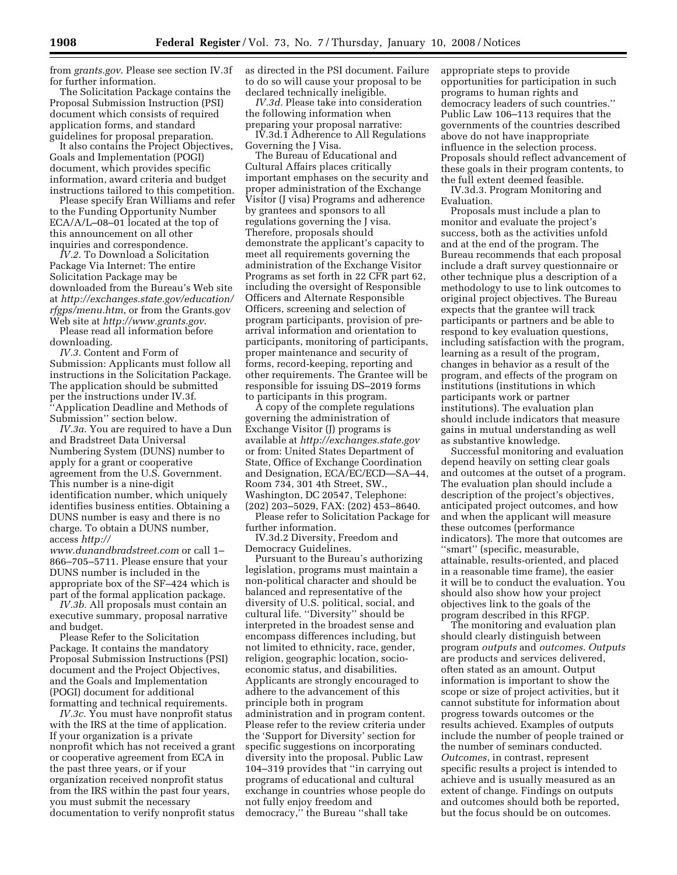from *grants.gov*. Please see section IV.3f for further information.

The Solicitation Package contains the Proposal Submission Instruction (PSI) document which consists of required application forms, and standard guidelines for proposal preparation.

It also contains the Project Objectives, Goals and Implementation (POGI) document, which provides specific information, award criteria and budget instructions tailored to this competition.

Please specify Eran Williams and refer to the Funding Opportunity Number ECA/A/L–08–01 located at the top of this announcement on all other inquiries and correspondence.

*IV.2.* To Download a Solicitation Package Via Internet: The entire Solicitation Package may be downloaded from the Bureau's Web site at *http://exchanges.state.gov/education/ rfgps/menu.htm*, or from the Grants.gov Web site at *http://www.grants.gov*.

Please read all information before downloading.

*IV.3.* Content and Form of Submission: Applicants must follow all instructions in the Solicitation Package. The application should be submitted per the instructions under IV.3f. ''Application Deadline and Methods of Submission'' section below.

*IV.3a.* You are required to have a Dun and Bradstreet Data Universal Numbering System (DUNS) number to apply for a grant or cooperative agreement from the U.S. Government. This number is a nine-digit identification number, which uniquely identifies business entities. Obtaining a DUNS number is easy and there is no charge. To obtain a DUNS number, access *http://* 

*www.dunandbradstreet.com* or call 1– 866–705–5711. Please ensure that your DUNS number is included in the appropriate box of the SF–424 which is part of the formal application package.

*IV.3b.* All proposals must contain an executive summary, proposal narrative and budget.

Please Refer to the Solicitation Package. It contains the mandatory Proposal Submission Instructions (PSI) document and the Project Objectives, and the Goals and Implementation (POGI) document for additional formatting and technical requirements.

*IV.3c.* You must have nonprofit status with the IRS at the time of application. If your organization is a private nonprofit which has not received a grant or cooperative agreement from ECA in the past three years, or if your organization received nonprofit status from the IRS within the past four years, you must submit the necessary documentation to verify nonprofit status

as directed in the PSI document. Failure to do so will cause your proposal to be declared technically ineligible.

*IV.3d.* Please take into consideration the following information when preparing your proposal narrative:

IV.3d.1 Adherence to All Regulations Governing the J Visa.

The Bureau of Educational and Cultural Affairs places critically important emphases on the security and proper administration of the Exchange Visitor (J visa) Programs and adherence by grantees and sponsors to all regulations governing the J visa. Therefore, proposals should demonstrate the applicant's capacity to meet all requirements governing the administration of the Exchange Visitor Programs as set forth in 22 CFR part 62, including the oversight of Responsible Officers and Alternate Responsible Officers, screening and selection of program participants, provision of prearrival information and orientation to participants, monitoring of participants, proper maintenance and security of forms, record-keeping, reporting and other requirements. The Grantee will be responsible for issuing DS–2019 forms to participants in this program.

A copy of the complete regulations governing the administration of Exchange Visitor (J) programs is available at *http://exchanges.state.gov*  or from: United States Department of State, Office of Exchange Coordination and Designation, ECA/EC/ECD—SA–44, Room 734, 301 4th Street, SW., Washington, DC 20547, Telephone: (202) 203–5029, FAX: (202) 453–8640.

Please refer to Solicitation Package for further information. IV.3d.2 Diversity, Freedom and

Democracy Guidelines.

Pursuant to the Bureau's authorizing legislation, programs must maintain a non-political character and should be balanced and representative of the diversity of U.S. political, social, and cultural life. ''Diversity'' should be interpreted in the broadest sense and encompass differences including, but not limited to ethnicity, race, gender, religion, geographic location, socioeconomic status, and disabilities. Applicants are strongly encouraged to adhere to the advancement of this principle both in program administration and in program content. Please refer to the review criteria under the 'Support for Diversity' section for specific suggestions on incorporating diversity into the proposal. Public Law 104–319 provides that ''in carrying out programs of educational and cultural exchange in countries whose people do not fully enjoy freedom and democracy,'' the Bureau ''shall take

appropriate steps to provide opportunities for participation in such programs to human rights and democracy leaders of such countries.'' Public Law 106–113 requires that the governments of the countries described above do not have inappropriate influence in the selection process. Proposals should reflect advancement of these goals in their program contents, to the full extent deemed feasible.

IV.3d.3. Program Monitoring and Evaluation.

Proposals must include a plan to monitor and evaluate the project's success, both as the activities unfold and at the end of the program. The Bureau recommends that each proposal include a draft survey questionnaire or other technique plus a description of a methodology to use to link outcomes to original project objectives. The Bureau expects that the grantee will track participants or partners and be able to respond to key evaluation questions, including satisfaction with the program, learning as a result of the program, changes in behavior as a result of the program, and effects of the program on institutions (institutions in which participants work or partner institutions). The evaluation plan should include indicators that measure gains in mutual understanding as well as substantive knowledge.

Successful monitoring and evaluation depend heavily on setting clear goals and outcomes at the outset of a program. The evaluation plan should include a description of the project's objectives, anticipated project outcomes, and how and when the applicant will measure these outcomes (performance indicators). The more that outcomes are ''smart'' (specific, measurable, attainable, results-oriented, and placed in a reasonable time frame), the easier it will be to conduct the evaluation. You should also show how your project objectives link to the goals of the program described in this RFGP.

The monitoring and evaluation plan should clearly distinguish between program *outputs* and *outcomes*. *Outputs*  are products and services delivered, often stated as an amount. Output information is important to show the scope or size of project activities, but it cannot substitute for information about progress towards outcomes or the results achieved. Examples of outputs include the number of people trained or the number of seminars conducted. *Outcomes*, in contrast, represent specific results a project is intended to achieve and is usually measured as an extent of change. Findings on outputs and outcomes should both be reported, but the focus should be on outcomes.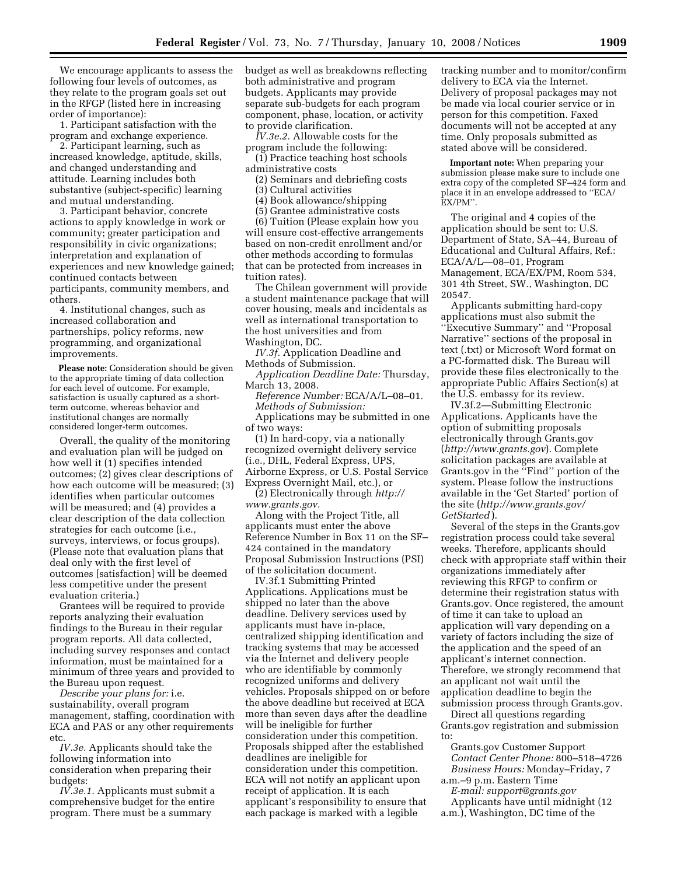We encourage applicants to assess the following four levels of outcomes, as they relate to the program goals set out in the RFGP (listed here in increasing order of importance):

1. Participant satisfaction with the program and exchange experience.

2. Participant learning, such as increased knowledge, aptitude, skills, and changed understanding and attitude. Learning includes both substantive (subject-specific) learning and mutual understanding.

3. Participant behavior, concrete actions to apply knowledge in work or community; greater participation and responsibility in civic organizations; interpretation and explanation of experiences and new knowledge gained; continued contacts between participants, community members, and others.

4. Institutional changes, such as increased collaboration and partnerships, policy reforms, new programming, and organizational improvements.

**Please note:** Consideration should be given to the appropriate timing of data collection for each level of outcome. For example, satisfaction is usually captured as a shortterm outcome, whereas behavior and institutional changes are normally considered longer-term outcomes.

Overall, the quality of the monitoring and evaluation plan will be judged on how well it (1) specifies intended outcomes; (2) gives clear descriptions of how each outcome will be measured; (3) identifies when particular outcomes will be measured; and (4) provides a clear description of the data collection strategies for each outcome (i.e., surveys, interviews, or focus groups). (Please note that evaluation plans that deal only with the first level of outcomes [satisfaction] will be deemed less competitive under the present evaluation criteria.)

Grantees will be required to provide reports analyzing their evaluation findings to the Bureau in their regular program reports. All data collected, including survey responses and contact information, must be maintained for a minimum of three years and provided to the Bureau upon request.

*Describe your plans for:* i.e. sustainability, overall program management, staffing, coordination with ECA and PAS or any other requirements etc.

*IV.3e.* Applicants should take the following information into consideration when preparing their budgets:

*IV.3e.1.* Applicants must submit a comprehensive budget for the entire program. There must be a summary

budget as well as breakdowns reflecting both administrative and program budgets. Applicants may provide separate sub-budgets for each program component, phase, location, or activity to provide clarification.

*IV.3e.2.* Allowable costs for the program include the following:

(1) Practice teaching host schools administrative costs

(2) Seminars and debriefing costs

(3) Cultural activities

(4) Book allowance/shipping

(5) Grantee administrative costs

(6) Tuition (Please explain how you will ensure cost-effective arrangements based on non-credit enrollment and/or other methods according to formulas that can be protected from increases in tuition rates).

The Chilean government will provide a student maintenance package that will cover housing, meals and incidentals as well as international transportation to the host universities and from Washington, DC.

*IV.3f.* Application Deadline and Methods of Submission.

*Application Deadline Date:* Thursday, March 13, 2008.

*Reference Number:* ECA/A/L–08–01. *Methods of Submission:*  Applications may be submitted in one of two ways:

(1) In hard-copy, via a nationally recognized overnight delivery service (i.e., DHL, Federal Express, UPS, Airborne Express, or U.S. Postal Service Express Overnight Mail, etc.), or

(2) Electronically through *http:// www.grants.gov.* 

Along with the Project Title, all applicants must enter the above Reference Number in Box 11 on the SF– 424 contained in the mandatory Proposal Submission Instructions (PSI) of the solicitation document.

IV.3f.1 Submitting Printed Applications. Applications must be shipped no later than the above deadline. Delivery services used by applicants must have in-place, centralized shipping identification and tracking systems that may be accessed via the Internet and delivery people who are identifiable by commonly recognized uniforms and delivery vehicles. Proposals shipped on or before the above deadline but received at ECA more than seven days after the deadline will be ineligible for further consideration under this competition. Proposals shipped after the established deadlines are ineligible for consideration under this competition. ECA will not notify an applicant upon receipt of application. It is each applicant's responsibility to ensure that each package is marked with a legible

tracking number and to monitor/confirm delivery to ECA via the Internet. Delivery of proposal packages may not be made via local courier service or in person for this competition. Faxed documents will not be accepted at any time. Only proposals submitted as stated above will be considered.

**Important note:** When preparing your submission please make sure to include one extra copy of the completed SF–424 form and place it in an envelope addressed to ''ECA/ EX/PM''.

The original and 4 copies of the application should be sent to: U.S. Department of State, SA–44, Bureau of Educational and Cultural Affairs, Ref.: ECA/A/L—08–01, Program Management, ECA/EX/PM, Room 534, 301 4th Street, SW., Washington, DC 20547.

Applicants submitting hard-copy applications must also submit the ''Executive Summary'' and ''Proposal Narrative'' sections of the proposal in text (.txt) or Microsoft Word format on a PC-formatted disk. The Bureau will provide these files electronically to the appropriate Public Affairs Section(s) at the U.S. embassy for its review.

IV.3f.2—Submitting Electronic Applications. Applicants have the option of submitting proposals electronically through Grants.gov (*http://www.grants.gov*). Complete solicitation packages are available at Grants.gov in the ''Find'' portion of the system. Please follow the instructions available in the 'Get Started' portion of the site (*http://www.grants.gov/ GetStarted* ).

Several of the steps in the Grants.gov registration process could take several weeks. Therefore, applicants should check with appropriate staff within their organizations immediately after reviewing this RFGP to confirm or determine their registration status with Grants.gov. Once registered, the amount of time it can take to upload an application will vary depending on a variety of factors including the size of the application and the speed of an applicant's internet connection. Therefore, we strongly recommend that an applicant not wait until the application deadline to begin the submission process through Grants.gov.

Direct all questions regarding Grants.gov registration and submission to:

Grants.gov Customer Support *Contact Center Phone:* 800–518–4726 *Business Hours:* Monday–Friday, 7

a.m.–9 p.m. Eastern Time *E-mail: support@grants.gov* 

Applicants have until midnight (12 a.m.), Washington, DC time of the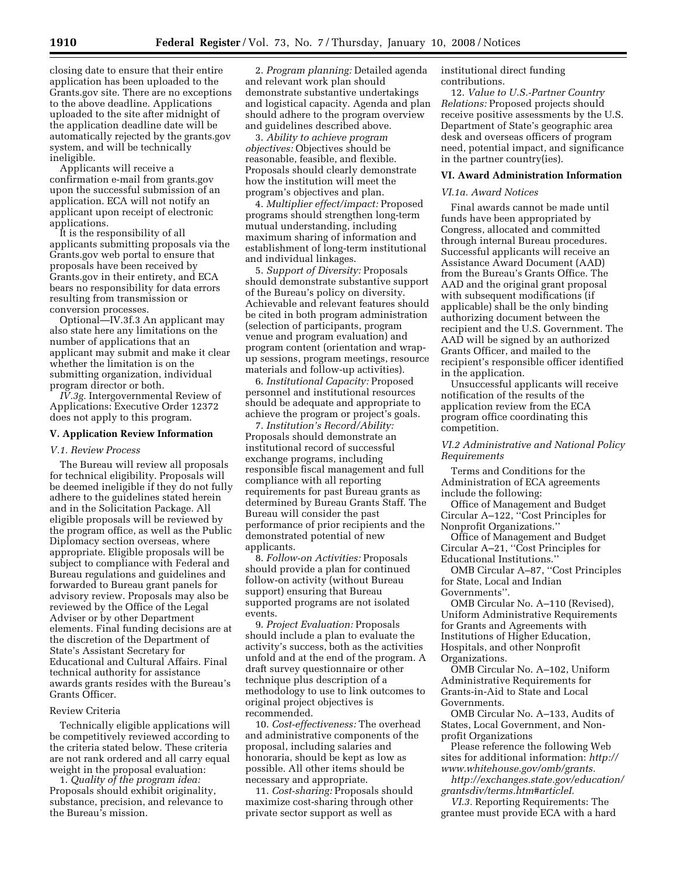closing date to ensure that their entire application has been uploaded to the Grants.gov site. There are no exceptions to the above deadline. Applications uploaded to the site after midnight of the application deadline date will be automatically rejected by the grants.gov system, and will be technically ineligible.

Applicants will receive a confirmation e-mail from grants.gov upon the successful submission of an application. ECA will not notify an applicant upon receipt of electronic applications.

It is the responsibility of all applicants submitting proposals via the Grants.gov web portal to ensure that proposals have been received by Grants.gov in their entirety, and ECA bears no responsibility for data errors resulting from transmission or conversion processes.

Optional—IV.3f.3 An applicant may also state here any limitations on the number of applications that an applicant may submit and make it clear whether the limitation is on the submitting organization, individual program director or both.

*IV.3g.* Intergovernmental Review of Applications: Executive Order 12372 does not apply to this program.

#### **V. Application Review Information**

#### *V.1. Review Process*

The Bureau will review all proposals for technical eligibility. Proposals will be deemed ineligible if they do not fully adhere to the guidelines stated herein and in the Solicitation Package. All eligible proposals will be reviewed by the program office, as well as the Public Diplomacy section overseas, where appropriate. Eligible proposals will be subject to compliance with Federal and Bureau regulations and guidelines and forwarded to Bureau grant panels for advisory review. Proposals may also be reviewed by the Office of the Legal Adviser or by other Department elements. Final funding decisions are at the discretion of the Department of State's Assistant Secretary for Educational and Cultural Affairs. Final technical authority for assistance awards grants resides with the Bureau's Grants Officer.

#### Review Criteria

Technically eligible applications will be competitively reviewed according to the criteria stated below. These criteria are not rank ordered and all carry equal weight in the proposal evaluation:

1. *Quality of the program idea:*  Proposals should exhibit originality, substance, precision, and relevance to the Bureau's mission.

2. *Program planning:* Detailed agenda and relevant work plan should demonstrate substantive undertakings and logistical capacity. Agenda and plan should adhere to the program overview and guidelines described above.

3. *Ability to achieve program objectives:* Objectives should be reasonable, feasible, and flexible. Proposals should clearly demonstrate how the institution will meet the program's objectives and plan.

4. *Multiplier effect/impact:* Proposed programs should strengthen long-term mutual understanding, including maximum sharing of information and establishment of long-term institutional and individual linkages.

5. *Support of Diversity:* Proposals should demonstrate substantive support of the Bureau's policy on diversity. Achievable and relevant features should be cited in both program administration (selection of participants, program venue and program evaluation) and program content (orientation and wrapup sessions, program meetings, resource materials and follow-up activities).

6. *Institutional Capacity:* Proposed personnel and institutional resources should be adequate and appropriate to achieve the program or project's goals.

7. *Institution's Record/Ability:*  Proposals should demonstrate an institutional record of successful exchange programs, including responsible fiscal management and full compliance with all reporting requirements for past Bureau grants as determined by Bureau Grants Staff. The Bureau will consider the past performance of prior recipients and the demonstrated potential of new applicants.

8. *Follow-on Activities:* Proposals should provide a plan for continued follow-on activity (without Bureau support) ensuring that Bureau supported programs are not isolated events.

9. *Project Evaluation:* Proposals should include a plan to evaluate the activity's success, both as the activities unfold and at the end of the program. A draft survey questionnaire or other technique plus description of a methodology to use to link outcomes to original project objectives is recommended.

10. *Cost-effectiveness:* The overhead and administrative components of the proposal, including salaries and honoraria, should be kept as low as possible. All other items should be necessary and appropriate.

11. *Cost-sharing:* Proposals should maximize cost-sharing through other private sector support as well as

institutional direct funding contributions.

12. *Value to U.S.-Partner Country Relations:* Proposed projects should receive positive assessments by the U.S. Department of State's geographic area desk and overseas officers of program need, potential impact, and significance in the partner country(ies).

#### **VI. Award Administration Information**

#### *VI.1a. Award Notices*

Final awards cannot be made until funds have been appropriated by Congress, allocated and committed through internal Bureau procedures. Successful applicants will receive an Assistance Award Document (AAD) from the Bureau's Grants Office. The AAD and the original grant proposal with subsequent modifications (if applicable) shall be the only binding authorizing document between the recipient and the U.S. Government. The AAD will be signed by an authorized Grants Officer, and mailed to the recipient's responsible officer identified in the application.

Unsuccessful applicants will receive notification of the results of the application review from the ECA program office coordinating this competition.

#### *VI.2 Administrative and National Policy Requirements*

Terms and Conditions for the Administration of ECA agreements include the following:

Office of Management and Budget Circular A–122, ''Cost Principles for Nonprofit Organizations.''

Office of Management and Budget Circular A–21, ''Cost Principles for Educational Institutions.''

OMB Circular A–87, ''Cost Principles for State, Local and Indian Governments''.

OMB Circular No. A–110 (Revised), Uniform Administrative Requirements for Grants and Agreements with Institutions of Higher Education, Hospitals, and other Nonprofit Organizations.

OMB Circular No. A–102, Uniform Administrative Requirements for Grants-in-Aid to State and Local Governments.

OMB Circular No. A–133, Audits of States, Local Government, and Nonprofit Organizations

Please reference the following Web sites for additional information: *http:// www.whitehouse.gov/omb/grants.* 

*http://exchanges.state.gov/education/ grantsdiv/terms.htm#articleI.* 

*VI.3.* Reporting Requirements: The grantee must provide ECA with a hard